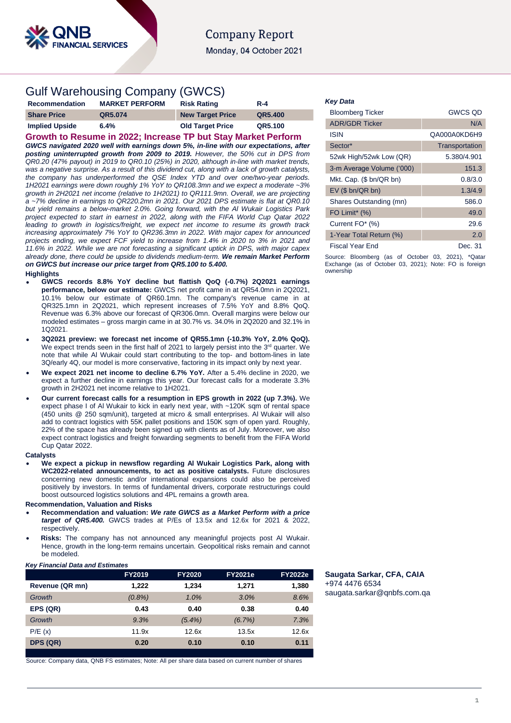

# **Company Report**

Monday, 04 October 2021

# Gulf Warehousing Company (GWCS)

| Recommendation        | <b>MARKET PERFORM</b> | <b>Risk Rating</b>      | $R - 4$ |
|-----------------------|-----------------------|-------------------------|---------|
| <b>Share Price</b>    | QR5.074               | <b>New Target Price</b> | QR5.400 |
| <b>Implied Upside</b> | 6.4%                  | <b>Old Target Price</b> | QR5.100 |

**Growth to Resume in 2022; Increase TP but Stay Market Perform** *GWCS navigated 2020 well with earnings down 5%, in-line with our expectations, after posting uninterrupted growth from 2009 to 2019. However, the 50% cut in DPS from QR0.20 (47% payout) in 2019 to QR0.10 (25%) in 2020, although in-line with market trends, was a negative surprise. As a result of this dividend cut, along with a lack of growth catalysts, the company has underperformed the QSE Index YTD and over one/two-year periods. 1H2021 earnings were down roughly 1% YoY to QR108.3mn and we expect a moderate ~3% growth in 2H2021 net income (relative to 1H2021) to QR111.9mn. Overall, we are projecting a ~7% decline in earnings to QR220.2mn in 2021. Our 2021 DPS estimate is flat at QR0.10 but yield remains a below-market 2.0%. Going forward, with the Al Wukair Logistics Park project expected to start in earnest in 2022, along with the FIFA World Cup Qatar 2022 leading to growth in logistics/freight, we expect net income to resume its growth track increasing approximately 7% YoY to QR236.3mn in 2022. With major capex for announced projects ending, we expect FCF yield to increase from 1.4% in 2020 to 3% in 2021 and 11.6% in 2022. While we are not forecasting a significant uptick in DPS, with major capex already done, there could be upside to dividends medium-term. We remain Market Perform on GWCS but increase our price target from QR5.100 to 5.400.*

#### **Highlights**

- **GWCS records 8.8% YoY decline but flattish QoQ (-0.7%) 2Q2021 earnings performance, below our estimate:** GWCS net profit came in at QR54.0mn in 2Q2021, 10.1% below our estimate of QR60.1mn. The company's revenue came in at QR325.1mn in 2Q2021, which represent increases of 7.5% YoY and 8.8% QoQ. Revenue was 6.3% above our forecast of QR306.0mn. Overall margins were below our modeled estimates – gross margin came in at 30.7% vs. 34.0% in 2Q2020 and 32.1% in 1Q2021.
- **3Q2021 preview: we forecast net income of QR55.1mn (-10.3% YoY, 2.0% QoQ).**  We expect trends seen in the first half of 2021 to largely persist into the 3<sup>rd</sup> quarter. We note that while Al Wukair could start contributing to the top- and bottom-lines in late 3Q/early 4Q, our model is more conservative, factoring in its impact only by next year.
- **We expect 2021 net income to decline 6.7% YoY.** After a 5.4% decline in 2020, we expect a further decline in earnings this year. Our forecast calls for a moderate 3.3% growth in 2H2021 net income relative to 1H2021.
- **Our current forecast calls for a resumption in EPS growth in 2022 (up 7.3%).** We expect phase I of Al Wukair to kick in early next year, with ~120K sqm of rental space (450 units @ 250 sqm/unit), targeted at micro & small enterprises. Al Wukair will also add to contract logistics with 55K pallet positions and 150K sqm of open yard. Roughly, 22% of the space has already been signed up with clients as of July. Moreover, we also expect contract logistics and freight forwarding segments to benefit from the FIFA World Cup Qatar 2022.

#### **Catalysts**

 **We expect a pickup in newsflow regarding Al Wukair Logistics Park, along with WC2022-related announcements, to act as positive catalysts.** Future disclosures concerning new domestic and/or international expansions could also be perceived positively by investors. In terms of fundamental drivers, corporate restructurings could boost outsourced logistics solutions and 4PL remains a growth area.

### **Recommendation, Valuation and Risks**

- **Recommendation and valuation:** *We rate GWCS as a Market Perform with a price target of QR5.400.* GWCS trades at P/Es of 13.5x and 12.6x for 2021 & 2022, respectively.
- **Risks:** The company has not announced any meaningful projects post Al Wukair. Hence, growth in the long-term remains uncertain. Geopolitical risks remain and cannot be modeled.

#### *Key Financial Data and Estimates*

|                 | FY2019    | <b>FY2020</b> | <b>FY2021e</b> | <b>FY2022e</b> |
|-----------------|-----------|---------------|----------------|----------------|
| Revenue (QR mn) | 1.222     | 1.234         | 1.271          | 1,380          |
| Growth          | $(0.8\%)$ | 1.0%          | 3.0%           | 8.6%           |
| EPS (QR)        | 0.43      | 0.40          | 0.38           | 0.40           |
| Growth          | 9.3%      | $(5.4\%)$     | (6.7%)         | 7.3%           |
| P/E(x)          | 11.9x     | 12.6x         | 13.5x          | 12.6x          |
| DPS (QR)        | 0.20      | 0.10          | 0.10           | 0.11           |

Source: Company data, QNB FS estimates; Note: All per share data based on current number of shares

## *Key Data*

| <b>Bloomberg Ticker</b>      | <b>GWCS QD</b> |
|------------------------------|----------------|
| <b>ADR/GDR Ticker</b>        | N/A            |
| <b>ISIN</b>                  | QA000A0KD6H9   |
| Sector*                      | Transportation |
| 52wk High/52wk Low (QR)      | 5.380/4.901    |
| 3-m Average Volume ('000)    | 151.3          |
| Mkt. Cap. (\$ bn/QR bn)      | 0.8/3.0        |
| $EV$ (\$ bn/QR bn)           | 1.3/4.9        |
| Shares Outstanding (mn)      | 586.0          |
| FO Limit <sup>*</sup> $(\%)$ | 49.0           |
| Current FO* (%)              | 29.6           |
| 1-Year Total Return (%)      | 2.0            |
| <b>Fiscal Year End</b>       | Dec. 31        |

Source: Bloomberg (as of October 03, 2021), \*Qatar Exchange (as of October 03, 2021); Note: FO is foreign ownership

**Saugata Sarkar, CFA, CAIA** +974 4476 6534 [saugata.sarkar@qnbfs.com.qa](mailto:saugata.sarkar@qnbfs.com.qa)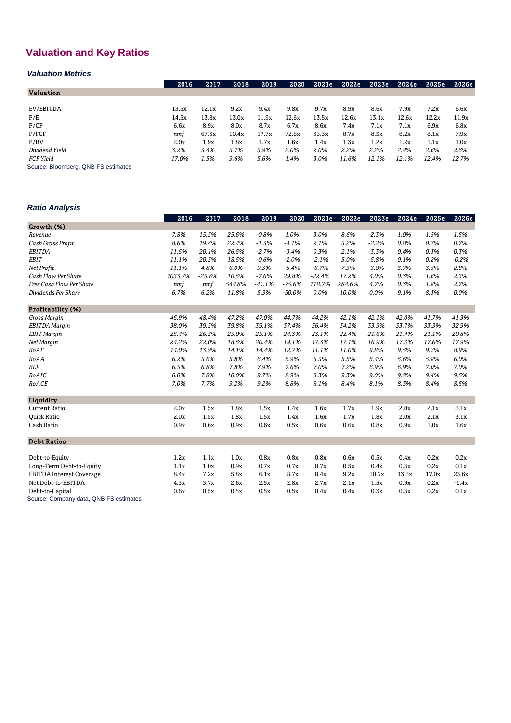# **Valuation and Key Ratios**

# *Valuation Metrics*

|                                     | 2016   | 2017  | 2018  | 2019  | 2020  | 2021e | 2022e | 2023e | 2024e | 2025e | 2026e |
|-------------------------------------|--------|-------|-------|-------|-------|-------|-------|-------|-------|-------|-------|
| <b>Valuation</b>                    |        |       |       |       |       |       |       |       |       |       |       |
|                                     |        |       |       |       |       |       |       |       |       |       |       |
| EV/EBITDA                           | 13.5x  | 12.1x | 9.2x  | 9.4x  | 9.8x  | 9.7x  | 8.9x  | 8.6x  | 7.9x  | 7.2x  | 6.6x  |
| P/E                                 | 14.5x  | 13.8x | 13.0x | 11.9x | 12.6x | 13.5x | 12.6x | 13.1x | 12.6x | 12.2x | 11.9x |
| P/CF                                | 6.6x   | 8.9x  | 8.0x  | 8.7x  | 6.7x  | 8.6x  | 7.4x  | 7.1x  | 7.1x  | 6.9x  | 6.8x  |
| P/FCF                               | nmf    | 67.3x | 10.4x | 17.7x | 72.8x | 33.3x | 8.7x  | 8.3x  | 8.2x  | 8.1x  | 7.9x  |
| P/BV                                | 2.0x   | 1.9x  | 1.8x  | 1.7x  | 1.6x  | 1.4x  | 1.3x  | 1.2x  | 1.2x  | 1.1x  | 1.0x  |
| Dividend Yield                      | 3.2%   | 3.4%  | 3.7%  | 3.9%  | 2.0%  | 2.0%  | 2.2%  | 2.2%  | 2.4%  | 2.6%  | 2.6%  |
| FCF Yield                           | -17.0% | 1.5%  | 9.6%  | 5.6%  | 1.4%  | 3.0%  | 11.6% | 12.1% | 12.1% | 12.4% | 12.7% |
| Source: Bloomberg, QNB FS estimates |        |       |       |       |       |       |       |       |       |       |       |

*Ratio Analysis*

|                                        | 2016    | 2017     | 2018   | 2019     | 2020     | 2021e    | 2022e  | 2023e   | 2024e | 2025e | 2026e   |
|----------------------------------------|---------|----------|--------|----------|----------|----------|--------|---------|-------|-------|---------|
| Growth (%)                             |         |          |        |          |          |          |        |         |       |       |         |
| Revenue                                | 7.8%    | 15.5%    | 25.6%  | $-0.8%$  | 1.0%     | 3.0%     | 8.6%   | $-2.3%$ | 1.0%  | 1.5%  | 1.5%    |
| Cash Gross Profit                      | 8.6%    | 19.4%    | 22.4%  | $-1.3%$  | $-4.1%$  | 2.1%     | 3.2%   | $-2.2%$ | 0.8%  | 0.7%  | 0.7%    |
| <b>EBITDA</b>                          | 11.5%   | 20.1%    | 26.5%  | $-2.7%$  | $-3.4%$  | 0.3%     | 2.1%   | $-3.3%$ | 0.4%  | 0.3%  | 0.3%    |
| <b>EBIT</b>                            | 11.1%   | 20.3%    | 18.5%  | $-0.6%$  | $-2.0%$  | $-2.1%$  | 5.0%   | $-5.8%$ | 0.1%  | 0.2%  | $-0.2%$ |
| Net Profit                             | 11.1%   | 4.8%     | 6.0%   | 9.3%     | $-5.4%$  | $-6.7%$  | 7.3%   | $-3.8%$ | 3.7%  | 3.5%  | 2.8%    |
| Cash Flow Per Share                    | 1033.7% | $-25.6%$ | 10.5%  | $-7.6%$  | 29.8%    | $-22.4%$ | 17.2%  | 4.0%    | 0.3%  | 1.6%  | 2.3%    |
| Free Cash Flow Per Share               | nmf     | nmf      | 544.8% | $-41.1%$ | $-75.6%$ | 118.7%   | 284.6% | 4.7%    | 0.3%  | 1.8%  | 2.7%    |
| Dividends Per Share                    | 6.7%    | 6.2%     | 11.8%  | 5.3%     | $-50.0%$ | 0.0%     | 10.0%  | 0.0%    | 9.1%  | 8.3%  | 0.0%    |
| Profitability (%)                      |         |          |        |          |          |          |        |         |       |       |         |
| Gross Margin                           | 46.9%   | 48.4%    | 47.2%  | 47.0%    | 44.7%    | 44.2%    | 42.1%  | 42.1%   | 42.0% | 41.7% | 41.3%   |
| <b>EBITDA</b> Margin                   | 38.0%   | 39.5%    | 39.8%  | 39.1%    | 37.4%    | 36.4%    | 34.2%  | 33.9%   | 33.7% | 33.3% | 32.9%   |
| <b>EBIT</b> Margin                     | 25.4%   | 26.5%    | 25.0%  | 25.1%    | 24.3%    | 23.1%    | 22.4%  | 21.6%   | 21.4% | 21.1% | 20.8%   |
| Net Margin                             | 24.2%   | 22.0%    | 18.5%  | 20.4%    | 19.1%    | 17.3%    | 17.1%  | 16.9%   | 17.3% | 17.6% | 17.9%   |
| RoAE                                   | 14.0%   | 13.9%    | 14.1%  | 14.4%    | 12.7%    | 11.1%    | 11.0%  | 9.8%    | 9.5%  | 9.2%  | 8.9%    |
| RoAA                                   | 6.2%    | 5.6%     | 5.8%   | 6.4%     | 5.9%     | 5.3%     | 5.5%   | 5.4%    | 5.6%  | 5.8%  | 6.0%    |
| <b>BEP</b>                             | 6.5%    | 6.8%     | 7.8%   | 7.9%     | 7.6%     | 7.0%     | 7.2%   | 6.9%    | 6.9%  | 7.0%  | 7.0%    |
| RoAIC                                  | 6.0%    | 7.8%     | 10.0%  | 9.7%     | 8.9%     | 8.3%     | 9.3%   | 9.0%    | 9.2%  | 9.4%  | 9.6%    |
| RoACE                                  | 7.0%    | 7.7%     | 9.2%   | 9.2%     | 8.8%     | 8.1%     | 8.4%   | 8.1%    | 8.3%  | 8.4%  | 8.5%    |
| Liquidity                              |         |          |        |          |          |          |        |         |       |       |         |
| <b>Current Ratio</b>                   | 2.0x    | 1.5x     | 1.8x   | 1.5x     | 1.4x     | 1.6x     | 1.7x   | 1.9x    | 2.0x  | 2.1x  | 3.1x    |
| <b>Ouick Ratio</b>                     | 2.0x    | 1.5x     | 1.8x   | 1.5x     | 1.4x     | 1.6x     | 1.7x   | 1.8x    | 2.0x  | 2.1x  | 3.1x    |
| Cash Ratio                             | 0.9x    | 0.6x     | 0.9x   | 0.6x     | 0.5x     | 0.6x     | 0.6x   | 0.8x    | 0.9x  | 1.0x  | 1.6x    |
| <b>Debt Ratios</b>                     |         |          |        |          |          |          |        |         |       |       |         |
| Debt-to-Equity                         | 1.2x    | 1.1x     | 1.0x   | 0.8x     | 0.8x     | 0.8x     | 0.6x   | 0.5x    | 0.4x  | 0.2x  | 0.2x    |
| Long-Term Debt-to-Equity               | 1.1x    | 1.0x     | 0.9x   | 0.7x     | 0.7x     | 0.7x     | 0.5x   | 0.4x    | 0.3x  | 0.2x  | 0.1x    |
| <b>EBITDA Interest Coverage</b>        | 8.4x    | 7.2x     | 5.8x   | 6.1x     | 8.7x     | 8.4x     | 9.2x   | 10.7x   | 13.3x | 17.0x | 23.6x   |
| Net Debt-to-EBITDA                     | 4.3x    | 3.7x     | 2.6x   | 2.5x     | 2.8x     | 2.7x     | 2.1x   | 1.5x    | 0.9x  | 0.2x  | $-0.4x$ |
| Debt-to-Capital                        | 0.6x    | 0.5x     | 0.5x   | 0.5x     | 0.5x     | 0.4x     | 0.4x   | 0.3x    | 0.3x  | 0.2x  | 0.1x    |
| Source: Company data, QNB FS estimates |         |          |        |          |          |          |        |         |       |       |         |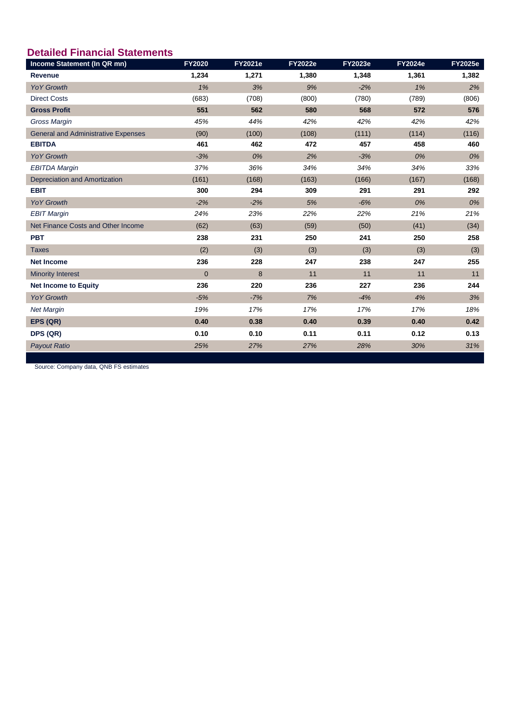# **Detailed Financial Statements**

| Income Statement (In QR mn)                | FY2020         | <b>FY2021e</b> | <b>FY2022e</b> | <b>FY2023e</b> | <b>FY2024e</b> | <b>FY2025e</b> |
|--------------------------------------------|----------------|----------------|----------------|----------------|----------------|----------------|
| <b>Revenue</b>                             | 1,234          | 1,271          | 1,380          | 1,348          | 1,361          | 1,382          |
| <b>YoY Growth</b>                          | 1%             | 3%             | 9%             | $-2%$          | 1%             | 2%             |
| <b>Direct Costs</b>                        | (683)          | (708)          | (800)          | (780)          | (789)          | (806)          |
| <b>Gross Profit</b>                        | 551            | 562            | 580            | 568            | 572            | 576            |
| <b>Gross Margin</b>                        | 45%            | 44%            | 42%            | 42%            | 42%            | 42%            |
| <b>General and Administrative Expenses</b> | (90)           | (100)          | (108)          | (111)          | (114)          | (116)          |
| <b>EBITDA</b>                              | 461            | 462            | 472            | 457            | 458            | 460            |
| <b>YoY Growth</b>                          | $-3%$          | 0%             | 2%             | $-3%$          | 0%             | 0%             |
| <b>EBITDA Margin</b>                       | 37%            | 36%            | 34%            | 34%            | 34%            | 33%            |
| Depreciation and Amortization              | (161)          | (168)          | (163)          | (166)          | (167)          | (168)          |
| <b>EBIT</b>                                | 300            | 294            | 309            | 291            | 291            | 292            |
| <b>YoY Growth</b>                          | $-2%$          | $-2%$          | 5%             | $-6%$          | 0%             | 0%             |
| <b>EBIT Margin</b>                         | 24%            | 23%            | 22%            | 22%            | 21%            | 21%            |
| Net Finance Costs and Other Income         | (62)           | (63)           | (59)           | (50)           | (41)           | (34)           |
| <b>PBT</b>                                 | 238            | 231            | 250            | 241            | 250            | 258            |
| <b>Taxes</b>                               | (2)            | (3)            | (3)            | (3)            | (3)            | (3)            |
| <b>Net Income</b>                          | 236            | 228            | 247            | 238            | 247            | 255            |
| <b>Minority Interest</b>                   | $\overline{0}$ | 8              | 11             | 11             | 11             | 11             |
| <b>Net Income to Equity</b>                | 236            | 220            | 236            | 227            | 236            | 244            |
| <b>YoY Growth</b>                          | $-5%$          | $-7%$          | 7%             | $-4%$          | 4%             | 3%             |
| <b>Net Margin</b>                          | 19%            | 17%            | 17%            | 17%            | 17%            | 18%            |
| EPS (QR)                                   | 0.40           | 0.38           | 0.40           | 0.39           | 0.40           | 0.42           |
| DPS (QR)                                   | 0.10           | 0.10           | 0.11           | 0.11           | 0.12           | 0.13           |
| <b>Payout Ratio</b>                        | 25%            | 27%            | 27%            | 28%            | 30%            | 31%            |

Source: Company data, QNB FS estimates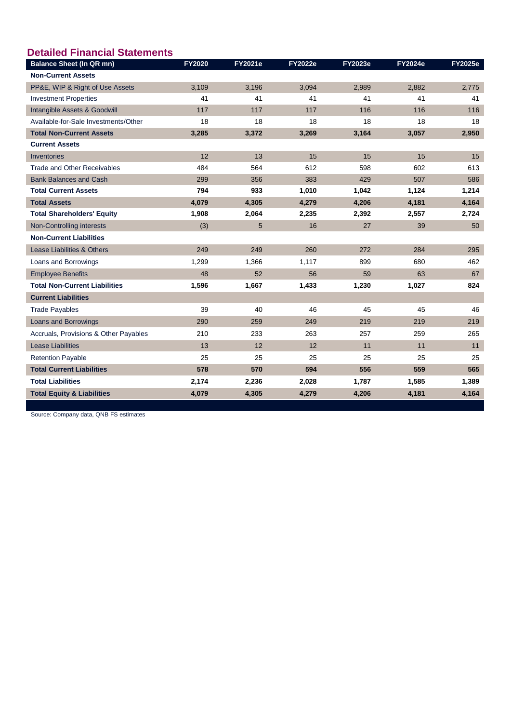| <b>Detailed Financial Statements</b>  |               |                |                |                |                |                |
|---------------------------------------|---------------|----------------|----------------|----------------|----------------|----------------|
| <b>Balance Sheet (In QR mn)</b>       | <b>FY2020</b> | <b>FY2021e</b> | <b>FY2022e</b> | <b>FY2023e</b> | <b>FY2024e</b> | <b>FY2025e</b> |
| <b>Non-Current Assets</b>             |               |                |                |                |                |                |
| PP&E, WIP & Right of Use Assets       | 3,109         | 3,196          | 3,094          | 2.989          | 2.882          | 2.775          |
| <b>Investment Properties</b>          | 41            | 41             | 41             | 41             | 41             | 41             |
| Intangible Assets & Goodwill          | 117           | 117            | 117            | 116            | 116            | 116            |
| Available-for-Sale Investments/Other  | 18            | 18             | 18             | 18             | 18             | 18             |
| <b>Total Non-Current Assets</b>       | 3,285         | 3,372          | 3,269          | 3,164          | 3,057          | 2,950          |
| <b>Current Assets</b>                 |               |                |                |                |                |                |
| Inventories                           | 12            | 13             | 15             | 15             | 15             | 15             |
| Trade and Other Receivables           | 484           | 564            | 612            | 598            | 602            | 613            |
| <b>Bank Balances and Cash</b>         | 299           | 356            | 383            | 429            | 507            | 586            |
| <b>Total Current Assets</b>           | 794           | 933            | 1,010          | 1,042          | 1,124          | 1,214          |
| <b>Total Assets</b>                   | 4,079         | 4,305          | 4,279          | 4,206          | 4,181          | 4,164          |
| <b>Total Shareholders' Equity</b>     | 1,908         | 2,064          | 2,235          | 2,392          | 2,557          | 2,724          |
| Non-Controlling interests             | (3)           | 5              | 16             | 27             | 39             | 50             |
| <b>Non-Current Liabilities</b>        |               |                |                |                |                |                |
| Lease Liabilities & Others            | 249           | 249            | 260            | 272            | 284            | 295            |
| Loans and Borrowings                  | 1,299         | 1,366          | 1,117          | 899            | 680            | 462            |
| <b>Employee Benefits</b>              | 48            | 52             | 56             | 59             | 63             | 67             |
| <b>Total Non-Current Liabilities</b>  | 1,596         | 1,667          | 1,433          | 1,230          | 1,027          | 824            |
| <b>Current Liabilities</b>            |               |                |                |                |                |                |
| <b>Trade Payables</b>                 | 39            | 40             | 46             | 45             | 45             | 46             |
| Loans and Borrowings                  | 290           | 259            | 249            | 219            | 219            | 219            |
| Accruals, Provisions & Other Payables | 210           | 233            | 263            | 257            | 259            | 265            |
| <b>Lease Liabilities</b>              | 13            | 12             | 12             | 11             | 11             | 11             |
| <b>Retention Payable</b>              | 25            | 25             | 25             | 25             | 25             | 25             |
| <b>Total Current Liabilities</b>      | 578           | 570            | 594            | 556            | 559            | 565            |
| <b>Total Liabilities</b>              | 2,174         | 2,236          | 2,028          | 1,787          | 1,585          | 1,389          |
| <b>Total Equity &amp; Liabilities</b> | 4,079         | 4,305          | 4,279          | 4,206          | 4,181          | 4,164          |

Source: Company data, QNB FS estimates